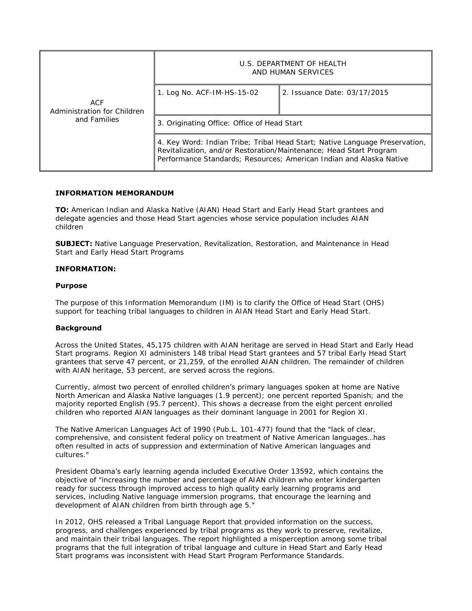| ACF<br>Administration for Children<br>and Families | U.S. DEPARTMENT OF HEALTH<br>AND HUMAN SERVICES                                                                                                                                                                          |                              |
|----------------------------------------------------|--------------------------------------------------------------------------------------------------------------------------------------------------------------------------------------------------------------------------|------------------------------|
|                                                    | 1. Log No. ACF-IM-HS-15-02                                                                                                                                                                                               | 2. Issuance Date: 03/17/2015 |
|                                                    | 3. Originating Office: Office of Head Start                                                                                                                                                                              |                              |
|                                                    | 4. Key Word: Indian Tribe; Tribal Head Start; Native Language Preservation,<br>Revitalization, and/or Restoration/Maintenance; Head Start Program<br>Performance Standards; Resources; American Indian and Alaska Native |                              |

# **INFORMATION MEMORANDUM**

**TO:** American Indian and Alaska Native (AIAN) Head Start and Farly Head Start grantees and delegate agencies and those Head Start agencies whose service population includes AIAN children

**SUBJECT:** Native Language Preservation, Revitalization, Restoration, and Maintenance in Head Start and Early Head Start Programs

# **INFORMATION:**

# **Purpose**

The purpose of this Information Memorandum (IM) is to clarify the Office of Head Start (OHS) support for teaching tribal languages to children in AIAN Head Start and Early Head Start.

# **Background**

Across the United States, 45,175 children with AIAN heritage are served in Head Start and Early Head Start programs. Region XI administers 148 tribal Head Start grantees and 57 tribal Early Head Start grantees that serve 47 percent, or 21,259, of the enrolled AIAN children. The remainder of children with AIAN heritage, 53 percent, are served across the regions.

Currently, almost two percent of enrolled **children's** primary languages spoken at home are Native North American and Alaska Native languages (1.9 percent); one percent reported Spanish; and the majority reported English (95.7 percent). This shows a decrease from the eight percent enrolled children who reported AIAN languages as their dominant language in 2001 for Region XI.

The Native American Languages Act of 1990 (Pub.L. 101-477) found that the "lack of clear, comprehensive, and consistent federal policy on treatment of Native American languages... has often resulted in acts of suppression and extermination of Native American languages and cultures."

President Obama's early learning agenda included Executive Order 13592, which contains the objective of "increasing the number and percentage of AIAN children who enter kindergarten ready for success through improved access to high quality early learning programs and services, including Native language immersion programs, that encourage the learning and development of AIAN children from birth through age 5."

In 2012, OHS released a Tribal Language Report that provided information on the success, progress, and challenges experienced by tribal programs as they work to preserve, revitalize, and maintain their tribal languages. The report highlighted a misperception among some tribal programs that the full integration of tribal language and culture in Head Start and Early Head Start programs was inconsistent with Head Start Program Performance Standards.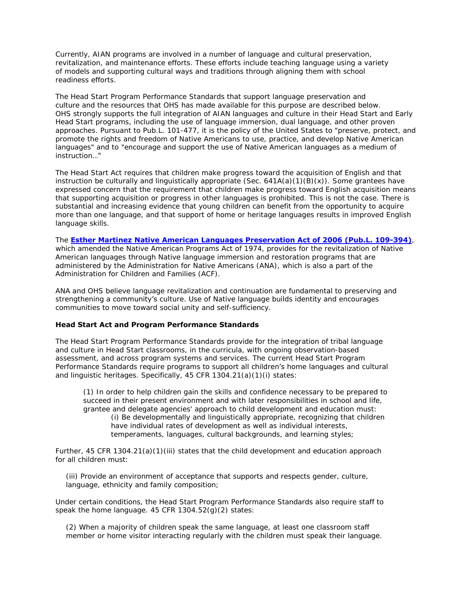Currently, AIAN programs are involved in a number of language and cultural preservation, revitalization, and maintenance efforts. These efforts include teaching language using a variety of models and supporting cultural ways and traditions through aligning them with school readiness efforts.

The Head Start Program Performance Standards that support language preservation and culture and the resources that OHS has made available for this purpose are described below. OHS strongly supports the full integration of AIAN languages and culture in their Head Start and Early Head Start programs, including the use of language immersion, dual language, and other proven approaches. Pursuant to Pub.L. 101-477, it is the policy of the United States to "preserve, protect, and promote the rights and freedom of Native Americans to use, practice, and develop Native American languages" and to "encourage and support the use of Native American languages as a medium of instruction…"

The Head Start Act requires that children make progress toward the acquisition of English and that instruction be culturally and linguistically appropriate (Sec.  $641A(a)(1)(B)(x)$ ). Some grantees have expressed concern that the requirement that children make progress toward English acquisition means that supporting acquisition or progress in other languages is prohibited. This is not the case. There is substantial and increasing evidence that young children can benefit from the opportunity to acquire more than one language, and that support of home or heritage languages results in improved English language skills.

The **[Esther Martinez Native American Languages Preservation Act of 2006 \(Pub.L. 109-394\)](http://thomas.loc.gov/cgi-bin/bdquery/z?d109:h.r.4766:)**, which amended the Native American Programs Act of 1974, provides for the revitalization of Native American languages through Native language immersion and restoration programs that are administered by the Administration for Native Americans (ANA), which is also a part of the Administration for Children and Families (ACF).

ANA and OHS believe language revitalization and continuation are fundamental to preserving and strengthening a community's culture. Use of Native language builds identity and encourages communities to move toward social unity and self-sufficiency.

### **Head Start Act and Program Performance Standards**

The Head Start Program Performance Standards provide for the integration of tribal language and culture in Head Start classrooms, in the curricula, with ongoing observation-based assessment, and across program systems and services. The current Head Start Program Performance Standards require programs to support all children's home languages and cultural and linguistic heritages. Specifically, 45 CFR 1304.21(a)(1)(i) states:

 (1) In order to help children gain the skills and confidence necessary to be prepared to succeed in their present environment and with later responsibilities in school and life, grantee and delegate agencies' approach to child development and education must: (i) Be developmentally and linguistically appropriate, recognizing that children have individual rates of development as well as individual interests, temperaments, languages, cultural backgrounds, and learning styles;

Further, 45 CFR 1304.21(a)(1)(iii) states that the child development and education approach for all children must:

(iii) Provide an environment of acceptance that supports and respects gender, culture, language, ethnicity and family composition;

Under certain conditions, the Head Start Program Performance Standards also require staff to speak the home language. 45 CFR 1304.52(g)(2) states:

(2) When a majority of children speak the same language, at least one classroom staff member or home visitor interacting regularly with the children must speak their language.